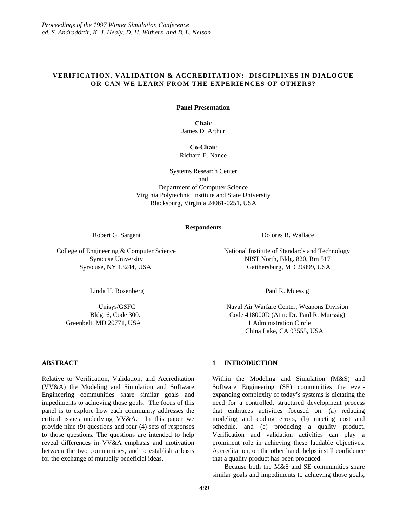## **VERIFICATION, VALIDATION & ACCREDITATION: DISCIPLINES IN DIALOGUE OR CAN WE LEARN FROM THE EXPERIENCES OF OTHERS?**

#### **Panel Presentation**

**Chair** James D. Arthur

**Co-Chair** Richard E. Nance

Systems Research Center and Department of Computer Science Virginia Polytechnic Institute and State University Blacksburg, Virginia 24061-0251, USA

#### **Respondents**

Linda H. Rosenberg **Paul R. Muessig** 

**ABSTRACT**

Relative to Verification, Validation, and Accreditation (VV&A) the Modeling and Simulation and Software Engineering communities share similar goals and impediments to achieving those goals. The focus of this panel is to explore how each community addresses the critical issues underlying VV&A. In this paper we provide nine (9) questions and four (4) sets of responses to those questions. The questions are intended to help reveal differences in VV&A emphasis and motivation between the two communities, and to establish a basis for the exchange of mutually beneficial ideas.

Robert G. Sargent **Dolores R. Wallace** 

College of Engineering & Computer Science National Institute of Standards and Technology Syracuse University NIST North, Bldg. 820, Rm 517 Syracuse, NY 13244, USA Gaithersburg, MD 20899, USA

Unisys/GSFC Naval Air Warfare Center, Weapons Division Bldg. 6, Code 300.1 Code 418000D (Attn: Dr. Paul R. Muessig) Greenbelt, MD 20771, USA 1 Administration Circle China Lake, CA 93555, USA

## **1 INTRODUCTION**

Within the Modeling and Simulation (M&S) and Software Engineering (SE) communities the everexpanding complexity of today's systems is dictating the need for a controlled, structured development process that embraces activities focused on: (a) reducing modeling and coding errors, (b) meeting cost and schedule, and (c) producing a quality product. Verification and validation activities can play a prominent role in achieving these laudable objectives. Accreditation, on the other hand, helps instill confidence that a quality product has been produced.

Because both the M&S and SE communities share similar goals and impediments to achieving those goals,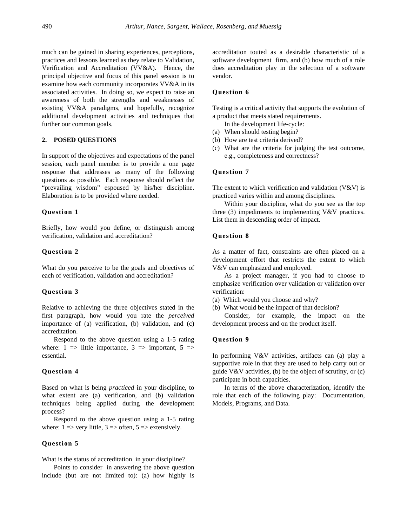much can be gained in sharing experiences, perceptions, practices and lessons learned as they relate to Validation, Verification and Accreditation (VV&A). Hence, the principal objective and focus of this panel session is to examine how each community incorporates VV&A in its associated activities. In doing so, we expect to raise an awareness of both the strengths and weaknesses of existing VV&A paradigms, and hopefully, recognize additional development activities and techniques that further our common goals.

#### **2. POSED QUESTIONS**

In support of the objectives and expectations of the panel session, each panel member is to provide a one page response that addresses as many of the following questions as possible. Each response should reflect the "prevailing wisdom" espoused by his/her discipline. Elaboration is to be provided where needed.

### **Question 1**

Briefly, how would you define, or distinguish among verification, validation and accreditation?

## **Question 2**

What do you perceive to be the goals and objectives of each of verification, validation and accreditation?

#### **Question 3**

Relative to achieving the three objectives stated in the first paragraph, how would you rate the *perceived* importance of (a) verification, (b) validation, and (c) accreditation.

Respond to the above question using a 1-5 rating where:  $1 \implies$  little importance,  $3 \implies$  important,  $5 \implies$ essential.

### **Question 4**

Based on what is being *practiced* in your discipline, to what extent are (a) verification, and (b) validation techniques being applied during the development process?

Respond to the above question using a 1-5 rating where:  $1 \Rightarrow$  very little,  $3 \Rightarrow$  often,  $5 \Rightarrow$  extensively.

## **Question 5**

What is the status of accreditation in your discipline?

Points to consider in answering the above question include (but are not limited to): (a) how highly is

accreditation touted as a desirable characteristic of a software development firm, and (b) how much of a role does accreditation play in the selection of a software vendor.

## **Question 6**

Testing is a critical activity that supports the evolution of a product that meets stated requirements.

In the development life-cycle:

- (a) When should testing begin?
- (b) How are test criteria derived?
- (c) What are the criteria for judging the test outcome, e.g., completeness and correctness?

## **Question 7**

The extent to which verification and validation  $(V&V)$  is practiced varies within and among disciplines.

Within your discipline, what do you see as the top three (3) impediments to implementing V&V practices. List them in descending order of impact.

#### **Question 8**

As a matter of fact, constraints are often placed on a development effort that restricts the extent to which V&V can emphasized and employed.

As a project manager, if you had to choose to emphasize verification over validation or validation over verification:

(a) Which would you choose and why?

(b) What would be the impact of that decision?

Consider, for example, the impact on the development process and on the product itself.

## **Question 9**

In performing V&V activities, artifacts can (a) play a supportive role in that they are used to help carry out or guide  $V&V$  activities, (b) be the object of scrutiny, or (c) participate in both capacities.

In terms of the above characterization, identify the role that each of the following play: Documentation, Models, Programs, and Data.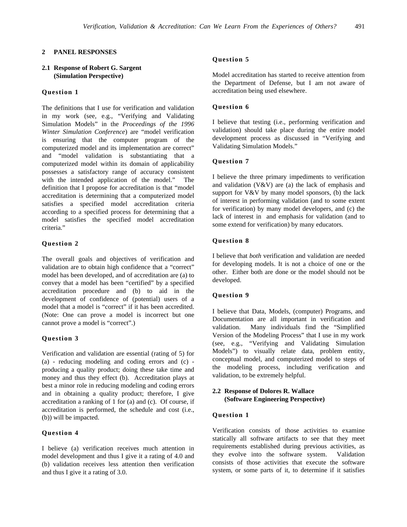### **2 PANEL RESPONSES**

### **2.1 Response of Robert G. Sargent (Simulation Perspective)**

## **Question 1**

The definitions that I use for verification and validation in my work (see, e.g., "Verifying and Validating Simulation Models" in the *Proceedings of the 1996 Winter Simulation Conference*) are "model verification is ensuring that the computer program of the computerized model and its implementation are correct" and "model validation is substantiating that a computerized model within its domain of applicability possesses a satisfactory range of accuracy consistent with the intended application of the model." The definition that I propose for accreditation is that "model accreditation is determining that a computerized model satisfies a specified model accreditation criteria according to a specified process for determining that a model satisfies the specified model accreditation criteria."

### **Question 2**

The overall goals and objectives of verification and validation are to obtain high confidence that a "correct" model has been developed, and of accreditation are (a) to convey that a model has been "certified" by a specified accreditation procedure and (b) to aid in the development of confidence of (potential) users of a model that a model is "correct" if it has been accredited. (Note: One can prove a model is incorrect but one cannot prove a model is "correct".)

### **Question 3**

Verification and validation are essential (rating of 5) for (a) - reducing modeling and coding errors and (c) producing a quality product; doing these take time and money and thus they effect (b). Accreditation plays at best a minor role in reducing modeling and coding errors and in obtaining a quality product; therefore, I give accreditation a ranking of 1 for (a) and (c). Of course, if accreditation is performed, the schedule and cost (i.e., (b)) will be impacted.

### **Question 4**

I believe (a) verification receives much attention in model development and thus I give it a rating of 4.0 and (b) validation receives less attention then verification and thus I give it a rating of 3.0.

# **Question 5**

Model accreditation has started to receive attention from the Department of Defense, but I am not aware of accreditation being used elsewhere.

### **Question 6**

I believe that testing (i.e., performing verification and validation) should take place during the entire model development process as discussed in "Verifying and Validating Simulation Models."

## **Question 7**

I believe the three primary impediments to verification and validation  $(V&V)$  are (a) the lack of emphasis and support for  $V&V$  by many model sponsors, (b) the lack of interest in performing validation (and to some extent for verification) by many model developers, and (c) the lack of interest in and emphasis for validation (and to some extend for verification) by many educators.

# **Question 8**

I believe that *both* verification and validation are needed for developing models. It is not a choice of one or the other. Either both are done or the model should not be developed.

### **Question 9**

I believe that Data, Models, (computer) Programs, and Documentation are all important in verification and validation. Many individuals find the "Simplified Version of the Modeling Process" that I use in my work (see, e.g., "Verifying and Validating Simulation Models") to visually relate data, problem entity, conceptual model, and computerized model to steps of the modeling process, including verification and validation, to be extremely helpful.

## **2.2 Response of Dolores R. Wallace (Software Engineering Perspective)**

### **Question 1**

Verification consists of those activities to examine statically all software artifacts to see that they meet requirements established during previous activities, as they evolve into the software system. Validation consists of those activities that execute the software system, or some parts of it, to determine if it satisfies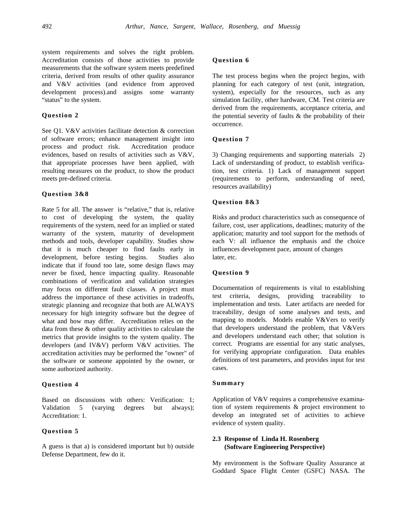system requirements and solves the right problem. Accreditation consists of those activities to provide measurements that the software system meets predefined criteria, derived from results of other quality assurance and V&V activities (and evidence from approved development process).and assigns some warranty "status" to the system.

### **Question 2**

See Q1. V&V activities facilitate detection & correction of software errors; enhance management insight into process and product risk. Accreditation produce evidences, based on results of activities such as V&V, that appropriate processes have been applied, with resulting measures on the product, to show the product meets pre-defined criteria.

## **Question 3&8**

Rate 5 for all. The answer is "relative," that is, relative to cost of developing the system, the quality requirements of the system, need for an implied or stated warranty of the system, maturity of development methods and tools, developer capability. Studies show that it is much cheaper to find faults early in development, before testing begins. Studies also indicate that if found too late, some design flaws may never be fixed, hence impacting quality. Reasonable combinations of verification and validation strategies may focus on different fault classes. A project must address the importance of these activities in tradeoffs, strategic planning and recognize that both are ALWAYS necessary for high integrity software but the degree of what and how may differ. Accreditation relies on the data from these & other quality activities to calculate the metrics that provide insights to the system quality. The developers (and IV&V) perform V&V activities. The accreditation activities may be performed the "owner" of the software or someone appointed by the owner, or some authorized authority.

### **Question 4**

Based on discussions with others: Verification: 1; Validation 5 (varying degrees but always); Accreditation: 1.

### **Question 5**

A guess is that a) is considered important but b) outside Defense Department, few do it.

### **Question 6**

The test process begins when the project begins, with planning for each category of test (unit, integration, system), especially for the resources, such as any simulation facility, other hardware, CM. Test criteria are derived from the requirements, acceptance criteria, and the potential severity of faults & the probability of their occurrence.

## **Question 7**

3) Changing requirements and supporting materials 2) Lack of understanding of product, to establish verification, test criteria. 1) Lack of management support (requirements to perform, understanding of need, resources availability)

### **Question 8&3**

Risks and product characteristics such as consequence of failure, cost, user applications, deadlines; maturity of the application; maturity and tool support for the methods of each V: all influence the emphasis and the choice influences development pace, amount of changes later, etc.

### **Question 9**

Documentation of requirements is vital to establishing test criteria, designs, providing traceability to implementation and tests. Later artifacts are needed for traceability, design of some analyses and tests, and mapping to models. Models enable V&Vers to verify that developers understand the problem, that V&Vers and developers understand each other; that solution is correct. Programs are essential for any static analyses, for verifying appropriate configuration. Data enables definitions of test parameters, and provides input for test cases.

### **Summary**

Application of V&V requires a comprehensive examination of system requirements & project environment to develop an integrated set of activities to achieve evidence of system quality.

## **2.3 Response of Linda H. Rosenberg (Software Engineering Perspective)**

My environment is the Software Quality Assurance at Goddard Space Flight Center (GSFC) NASA. The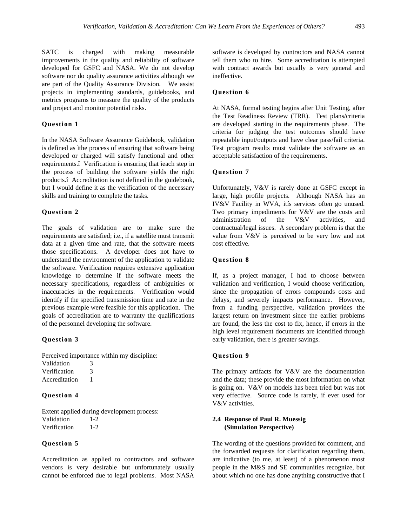SATC is charged with making measurable improvements in the quality and reliability of software developed for GSFC and NASA. We do not develop software nor do quality assurance activities although we are part of the Quality Assurance Division. We assist projects in implementing standards, guidebooks, and metrics programs to measure the quality of the products and project and monitor potential risks.

## **Question 1**

In the NASA Software Assurance Guidebook, validation is defined as ìthe process of ensuring that software being developed or charged will satisfy functional and other requirements.î Verification is ensuring that ìeach step in the process of building the software yields the right products.î Accreditation is not defined in the guidebook, but I would define it as the verification of the necessary skills and training to complete the tasks.

### **Question 2**

The goals of validation are to make sure the requirements are satisfied; i.e., if a satellite must transmit data at a given time and rate, that the software meets those specifications. A developer does not have to understand the environment of the application to validate the software. Verification requires extensive application knowledge to determine if the software meets the necessary specifications, regardless of ambiguities or inaccuracies in the requirements. Verification would identify if the specified transmission time and rate in the previous example were feasible for this application. The goals of accreditation are to warranty the qualifications of the personnel developing the software.

## **Question 3**

Perceived importance within my discipline:

- Validation 3 Verification 3
- Accreditation 1

# **Question 4**

Extent applied during development process: Validation 1-2 Verification 1-2

## **Question 5**

Accreditation as applied to contractors and software vendors is very desirable but unfortunately usually cannot be enforced due to legal problems. Most NASA

software is developed by contractors and NASA cannot tell them who to hire. Some accreditation is attempted with contract awards but usually is very general and ineffective.

# **Question 6**

At NASA, formal testing begins after Unit Testing, after the Test Readiness Review (TRR). Test plans/criteria are developed starting in the requirements phase. The criteria for judging the test outcomes should have repeatable input/outputs and have clear pass/fail criteria. Test program results must validate the software as an acceptable satisfaction of the requirements.

## **Question 7**

Unfortunately, V&V is rarely done at GSFC except in large, high profile projects. Although NASA has an IV&V Facility in WVA, itís services often go unused. Two primary impediments for V&V are the costs and administration of the V&V activities, and contractual/legal issues. A secondary problem is that the value from V&V is perceived to be very low and not cost effective.

### **Question 8**

If, as a project manager, I had to choose between validation and verification, I would choose verification, since the propagation of errors compounds costs and delays, and severely impacts performance. However, from a funding perspective, validation provides the largest return on investment since the earlier problems are found, the less the cost to fix, hence, if errors in the high level requirement documents are identified through early validation, there is greater savings.

#### **Question 9**

The primary artifacts for  $V&V$  are the documentation and the data; these provide the most information on what is going on. V&V on models has been tried but was not very effective. Source code is rarely, if ever used for V&V activities.

### **2.4 Response of Paul R. Muessig (Simulation Perspective)**

The wording of the questions provided for comment, and the forwarded requests for clarification regarding them, are indicative (to me, at least) of a phenomenon most people in the M&S and SE communities recognize, but about which no one has done anything constructive that I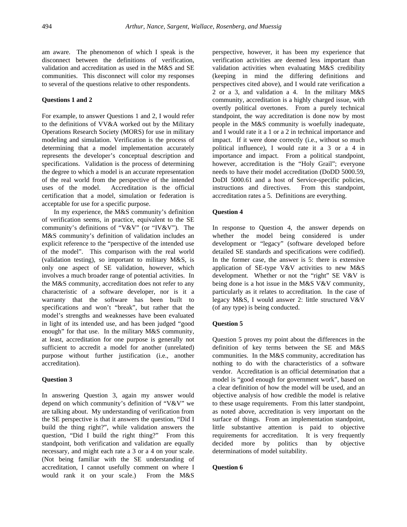am aware. The phenomenon of which I speak is the disconnect between the definitions of verification, validation and accreditation as used in the M&S and SE communities. This disconnect will color my responses to several of the questions relative to other respondents.

### **Questions 1 and 2**

For example, to answer Questions 1 and 2, I would refer to the definitions of VV&A worked out by the Military Operations Research Society (MORS) for use in military modeling and simulation. Verification is the process of determining that a model implementation accurately represents the developer's conceptual description and specifications. Validation is the process of determining the degree to which a model is an accurate representation of the real world from the perspective of the intended uses of the model. Accreditation is the official certification that a model, simulation or federation is acceptable for use for a specific purpose.

In my experience, the M&S community's definition of verification seems, in practice, equivalent to the SE community's definitions of "V&V" (or "IV&V"). The M&S community's definition of validation includes an explicit reference to the "perspective of the intended use of the model". This comparison with the real world (validation testing), so important to military M&S, is only one aspect of SE validation, however, which involves a much broader range of potential activities. In the M&S community, accreditation does not refer to any characteristic of a software developer, nor is it a warranty that the software has been built to specifications and won't "break", but rather that the model's strengths and weaknesses have been evaluated in light of its intended use, and has been judged "good enough" for that use. In the military M&S community, at least, accreditation for one purpose is generally not sufficient to accredit a model for another (unrelated) purpose without further justification (i.e., another accreditation).

#### **Question 3**

In answering Question 3, again my answer would depend on which community's definition of "V&V" we are talking about. My understanding of verification from the SE perspective is that it answers the question, "Did I build the thing right?", while validation answers the question, "Did I build the right thing?" From this standpoint, both verification and validation are equally necessary, and might each rate a 3 or a 4 on your scale. (Not being familiar with the SE understanding of accreditation, I cannot usefully comment on where I would rank it on your scale.) From the M&S

perspective, however, it has been my experience that verification activities are deemed less important than validation activities when evaluating M&S credibility (keeping in mind the differing definitions and perspectives cited above), and I would rate verification a 2 or a 3, and validation a 4. In the military M&S community, accreditation is a highly charged issue, with overtly political overtones. From a purely technical standpoint, the way accreditation is done now by most people in the M&S community is woefully inadequate, and I would rate it a 1 or a 2 in technical importance and impact. If it were done correctly (i.e., without so much political influence), I would rate it a 3 or a 4 in importance and impact. From a political standpoint, however, accreditation is the "Holy Grail"; everyone needs to have their model accreditation (DoDD 5000.59, DoDI 5000.61 and a host of Service-specific policies, instructions and directives. From this standpoint, accreditation rates a 5. Definitions are everything.

### **Question 4**

In response to Question 4, the answer depends on whether the model being considered is under development or "legacy" (software developed before detailed SE standards and specifications were codified). In the former case, the answer is 5: there is extensive application of SE-type V&V activities to new M&S development. Whether or not the "right" SE V&V is being done is a hot issue in the M&S V&V community, particularly as it relates to accreditation. In the case of legacy M&S, I would answer 2: little structured V&V (of any type) is being conducted.

#### **Question 5**

Question 5 proves my point about the differences in the definition of key terms between the SE and M&S communities. In the M&S community, accreditation has nothing to do with the characteristics of a software vendor. Accreditation is an official determination that a model is "good enough for government work", based on a clear definition of how the model will be used, and an objective analysis of how credible the model is relative to these usage requirements. From this latter standpoint, as noted above, accreditation is very important on the surface of things. From an implementation standpoint, little substantive attention is paid to objective requirements for accreditation. It is very frequently decided more by politics than by objective determinations of model suitability.

### **Question 6**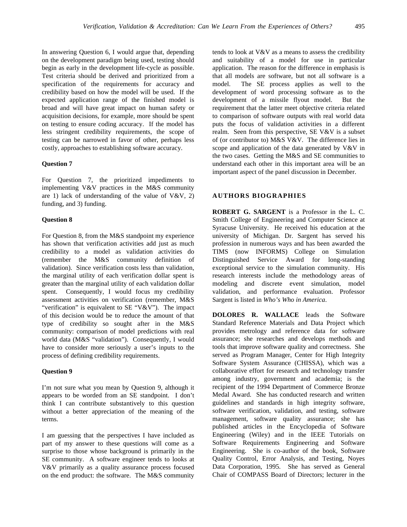In answering Question 6, I would argue that, depending on the development paradigm being used, testing should begin as early in the development life-cycle as possible. Test criteria should be derived and prioritized from a specification of the requirements for accuracy and credibility based on how the model will be used. If the expected application range of the finished model is broad and will have great impact on human safety or acquisition decisions, for example, more should be spent on testing to ensure coding accuracy. If the model has less stringent credibility requirements, the scope of testing can be narrowed in favor of other, perhaps less costly, approaches to establishing software accuracy.

## **Question 7**

For Question 7, the prioritized impediments to implementing V&V practices in the M&S community are 1) lack of understanding of the value of  $V&V, 2$ funding, and 3) funding.

### **Question 8**

For Question 8, from the M&S standpoint my experience has shown that verification activities add just as much credibility to a model as validation activities do (remember the M&S community definition of validation). Since verification costs less than validation, the marginal utility of each verification dollar spent is greater than the marginal utility of each validation dollar spent. Consequently, I would focus my credibility assessment activities on verification (remember, M&S "verification" is equivalent to SE "V&V"). The impact of this decision would be to reduce the amount of that type of credibility so sought after in the M&S community: comparison of model predictions with real world data (M&S "validation"). Consequently, I would have to consider more seriously a user's inputs to the process of defining credibility requirements.

#### **Question 9**

I'm not sure what you mean by Question 9, although it appears to be worded from an SE standpoint. I don't think I can contribute substantively to this question without a better appreciation of the meaning of the terms.

I am guessing that the perspectives I have included as part of my answer to these questions will come as a surprise to those whose background is primarily in the SE community. A software engineer tends to looks at V&V primarily as a quality assurance process focused on the end product: the software. The M&S community

tends to look at V&V as a means to assess the credibility and suitability of a model for use in particular application. The reason for the difference in emphasis is that all models are software, but not all software is a model. The SE process applies as well to the development of word processing software as to the development of a missile flyout model. But the requirement that the latter meet objective criteria related to comparison of software outputs with real world data puts the focus of validation activities in a different realm. Seen from this perspective, SE V&V is a subset of (or contributor to) M&S V&V. The difference lies in scope and application of the data generated by V&V in the two cases. Getting the M&S and SE communities to understand each other in this important area will be an important aspect of the panel discussion in December.

# **AUTHORS BIOGRAPHIES**

**ROBERT G. SARGENT** is a Professor in the L. C. Smith College of Engineering and Computer Science at Syracuse University. He received his education at the university of Michigan. Dr. Sargent has served his profession in numerous ways and has been awarded the TIMS (now INFORMS) College on Simulation Distinguished Service Award for long-standing exceptional service to the simulation community. His research interests include the methodology areas of modeling and discrete event simulation, model validation, and performance evaluation. Professor Sargent is listed in *Who's Who in America*.

**DOLORES R. WALLACE** leads the Software Standard Reference Materials and Data Project which provides metrology and reference data for software assurance; she researches and develops methods and tools that improve software quality and correctness. She served as Program Manager, Center for High Integrity Software System Assurance (CHISSA), which was a collaborative effort for research and technology transfer among industry, government and academia; is the recipient of the 1994 Department of Commerce Bronze Medal Award. She has conducted research and written guidelines and standards in high integrity software, software verification, validation, and testing, software management, software quality assurance; she has published articles in the Encyclopedia of Software Engineering (Wiley) and in the IEEE Tutorials on Software Requirements Engineering and Software Engineering. She is co-author of the book, Software Quality Control, Error Analysis, and Testing, Noyes Data Corporation, 1995. She has served as General Chair of COMPASS Board of Directors; lecturer in the